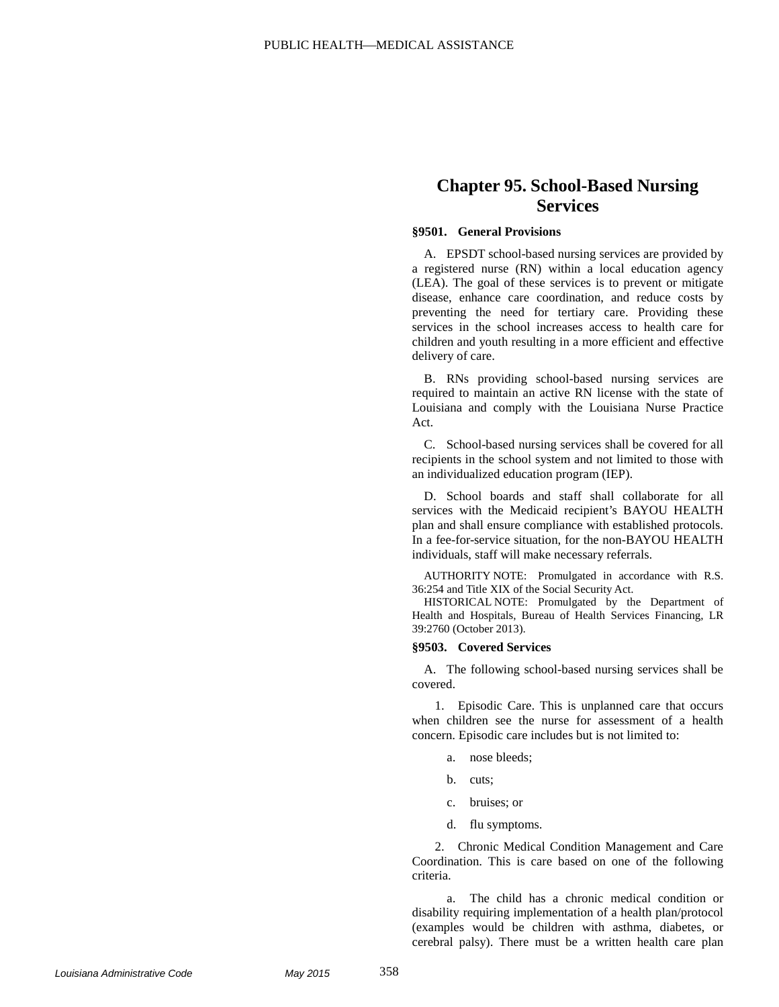## **Chapter 95. School-Based Nursing Services**

## **§9501. General Provisions**

A. EPSDT school-based nursing services are provided by a registered nurse (RN) within a local education agency (LEA). The goal of these services is to prevent or mitigate disease, enhance care coordination, and reduce costs by preventing the need for tertiary care. Providing these services in the school increases access to health care for children and youth resulting in a more efficient and effective delivery of care.

B. RNs providing school-based nursing services are required to maintain an active RN license with the state of Louisiana and comply with the Louisiana Nurse Practice Act.

C. School-based nursing services shall be covered for all recipients in the school system and not limited to those with an individualized education program (IEP).

D. School boards and staff shall collaborate for all services with the Medicaid recipient's BAYOU HEALTH plan and shall ensure compliance with established protocols. In a fee-for-service situation, for the non-BAYOU HEALTH individuals, staff will make necessary referrals.

AUTHORITY NOTE: Promulgated in accordance with R.S. 36:254 and Title XIX of the Social Security Act.

HISTORICAL NOTE: Promulgated by the Department of Health and Hospitals, Bureau of Health Services Financing, LR 39:2760 (October 2013).

## **§9503. Covered Services**

A. The following school-based nursing services shall be covered.

1. Episodic Care. This is unplanned care that occurs when children see the nurse for assessment of a health concern. Episodic care includes but is not limited to:

- a. nose bleeds;
- b. cuts;
- c. bruises; or
- d. flu symptoms.

2. Chronic Medical Condition Management and Care Coordination. This is care based on one of the following criteria.

a. The child has a chronic medical condition or disability requiring implementation of a health plan/protocol (examples would be children with asthma, diabetes, or cerebral palsy). There must be a written health care plan